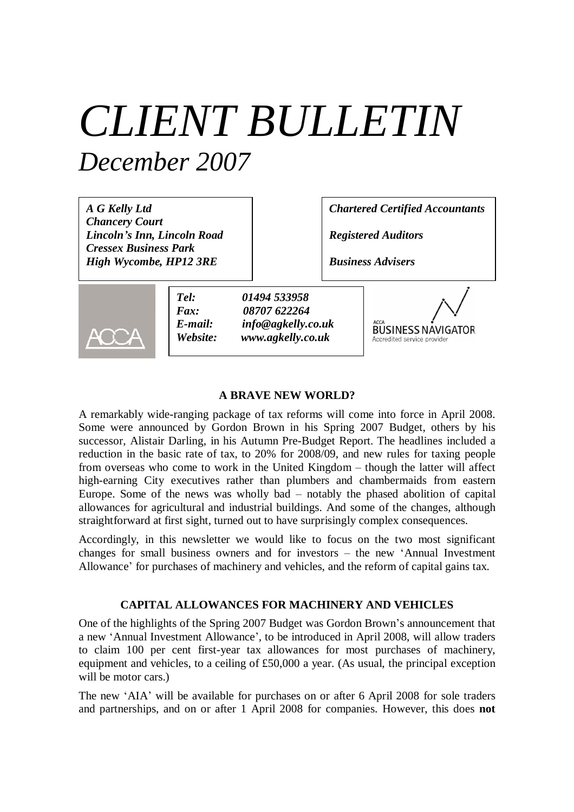# *CLIENT BULLETIN December 2007*

*A G Kelly Ltd Chancery Court Lincoln's Inn, Lincoln Road Cressex Business Park High Wycombe, HP12 3RE*

*Chartered Certified Accountants*

*Registered Auditors*

*Business Advisers*



*Tel: 01494 533958 Fax: 08707 622264 E-mail: info@agkelly.co.uk Website: www.agkelly.co.uk*



#### **A BRAVE NEW WORLD?**

A remarkably wide-ranging package of tax reforms will come into force in April 2008. Some were announced by Gordon Brown in his Spring 2007 Budget, others by his successor, Alistair Darling, in his Autumn Pre-Budget Report. The headlines included a reduction in the basic rate of tax, to 20% for 2008/09, and new rules for taxing people from overseas who come to work in the United Kingdom – though the latter will affect high-earning City executives rather than plumbers and chambermaids from eastern Europe. Some of the news was wholly bad – notably the phased abolition of capital allowances for agricultural and industrial buildings. And some of the changes, although straightforward at first sight, turned out to have surprisingly complex consequences.

Accordingly, in this newsletter we would like to focus on the two most significant changes for small business owners and for investors – the new 'Annual Investment Allowance' for purchases of machinery and vehicles, and the reform of capital gains tax.

### **CAPITAL ALLOWANCES FOR MACHINERY AND VEHICLES**

One of the highlights of the Spring 2007 Budget was Gordon Brown's announcement that a new 'Annual Investment Allowance', to be introduced in April 2008, will allow traders to claim 100 per cent first-year tax allowances for most purchases of machinery, equipment and vehicles, to a ceiling of £50,000 a year. (As usual, the principal exception will be motor cars.)

The new 'AIA' will be available for purchases on or after 6 April 2008 for sole traders and partnerships, and on or after 1 April 2008 for companies. However, this does **not**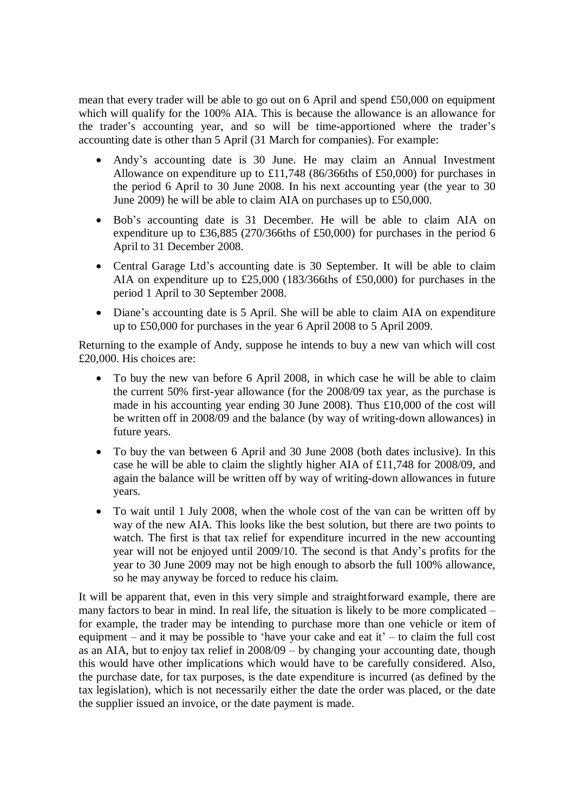mean that every trader will be able to go out on 6 April and spend £50,000 on equipment which will qualify for the 100% AIA. This is because the allowance is an allowance for the trader's accounting year, and so will be time-apportioned where the trader's accounting date is other than 5 April (31 March for companies). For example:

- Andy's accounting date is 30 June. He may claim an Annual Investment Allowance on expenditure up to £11,748 (86/366ths of £50,000) for purchases in the period 6 April to 30 June 2008. In his next accounting year (the year to 30 June 2009) he will be able to claim AIA on purchases up to £50,000.
- Bob's accounting date is 31 December. He will be able to claim AIA on expenditure up to £36,885 (270/366ths of £50,000) for purchases in the period 6 April to 31 December 2008.
- Central Garage Ltd's accounting date is 30 September. It will be able to claim AIA on expenditure up to £25,000 (183/366ths of £50,000) for purchases in the period 1 April to 30 September 2008.
- Diane's accounting date is 5 April. She will be able to claim AIA on expenditure up to £50,000 for purchases in the year 6 April 2008 to 5 April 2009.

Returning to the example of Andy, suppose he intends to buy a new van which will cost £20,000. His choices are:

- To buy the new van before 6 April 2008, in which case he will be able to claim the current 50% first-year allowance (for the 2008/09 tax year, as the purchase is made in his accounting year ending 30 June 2008). Thus £10,000 of the cost will be written off in 2008/09 and the balance (by way of writing-down allowances) in future years.
- To buy the van between 6 April and 30 June 2008 (both dates inclusive). In this case he will be able to claim the slightly higher AIA of £11,748 for 2008/09, and again the balance will be written off by way of writing-down allowances in future years.
- To wait until 1 July 2008, when the whole cost of the van can be written off by way of the new AIA. This looks like the best solution, but there are two points to watch. The first is that tax relief for expenditure incurred in the new accounting year will not be enjoyed until 2009/10. The second is that Andy's profits for the year to 30 June 2009 may not be high enough to absorb the full 100% allowance, so he may anyway be forced to reduce his claim.

It will be apparent that, even in this very simple and straightforward example, there are many factors to bear in mind. In real life, the situation is likely to be more complicated – for example, the trader may be intending to purchase more than one vehicle or item of equipment – and it may be possible to 'have your cake and eat it'– to claim the full cost as an AIA, but to enjoy tax relief in 2008/09 – by changing your accounting date, though this would have other implications which would have to be carefully considered. Also, the purchase date, for tax purposes, is the date expenditure is incurred (as defined by the tax legislation), which is not necessarily either the date the order was placed, or the date the supplier issued an invoice, or the date payment is made.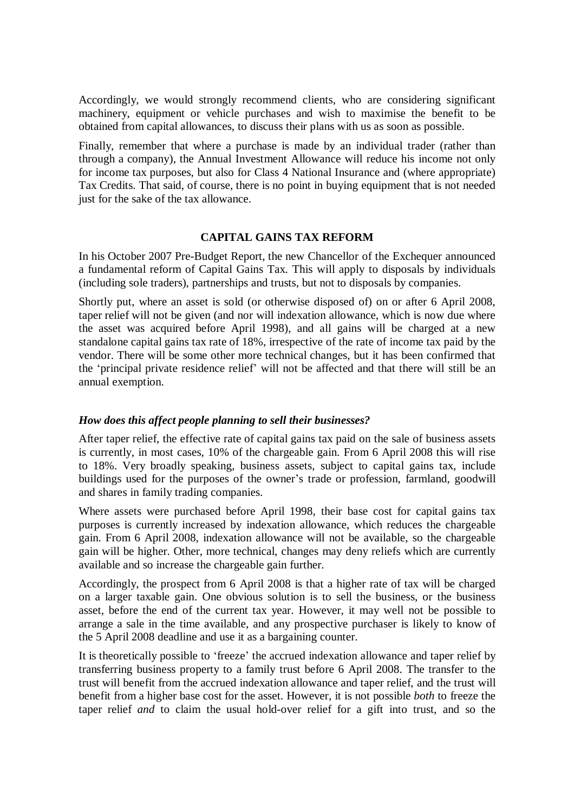Accordingly, we would strongly recommend clients, who are considering significant machinery, equipment or vehicle purchases and wish to maximise the benefit to be obtained from capital allowances, to discuss their plans with us as soon as possible.

Finally, remember that where a purchase is made by an individual trader (rather than through a company), the Annual Investment Allowance will reduce his income not only for income tax purposes, but also for Class 4 National Insurance and (where appropriate) Tax Credits. That said, of course, there is no point in buying equipment that is not needed just for the sake of the tax allowance.

### **CAPITAL GAINS TAX REFORM**

In his October 2007 Pre-Budget Report, the new Chancellor of the Exchequer announced a fundamental reform of Capital Gains Tax. This will apply to disposals by individuals (including sole traders), partnerships and trusts, but not to disposals by companies.

Shortly put, where an asset is sold (or otherwise disposed of) on or after 6 April 2008, taper relief will not be given (and nor will indexation allowance, which is now due where the asset was acquired before April 1998), and all gains will be charged at a new standalone capital gains tax rate of 18%, irrespective of the rate of income tax paid by the vendor. There will be some other more technical changes, but it has been confirmed that the 'principal private residence relief' will not be affected and that there will still be an annual exemption.

# *How does this affect people planning to sell their businesses?*

After taper relief, the effective rate of capital gains tax paid on the sale of business assets is currently, in most cases, 10% of the chargeable gain. From 6 April 2008 this will rise to 18%. Very broadly speaking, business assets, subject to capital gains tax, include buildings used for the purposes of the owner's trade or profession, farmland, goodwill and shares in family trading companies.

Where assets were purchased before April 1998, their base cost for capital gains tax purposes is currently increased by indexation allowance, which reduces the chargeable gain. From 6 April 2008, indexation allowance will not be available, so the chargeable gain will be higher. Other, more technical, changes may deny reliefs which are currently available and so increase the chargeable gain further.

Accordingly, the prospect from 6 April 2008 is that a higher rate of tax will be charged on a larger taxable gain. One obvious solution is to sell the business, or the business asset, before the end of the current tax year. However, it may well not be possible to arrange a sale in the time available, and any prospective purchaser is likely to know of the 5 April 2008 deadline and use it as a bargaining counter.

It is theoretically possible to 'freeze' the accrued indexation allowance and taper relief by transferring business property to a family trust before 6 April 2008. The transfer to the trust will benefit from the accrued indexation allowance and taper relief, and the trust will benefit from a higher base cost for the asset. However, it is not possible *both* to freeze the taper relief *and* to claim the usual hold-over relief for a gift into trust, and so the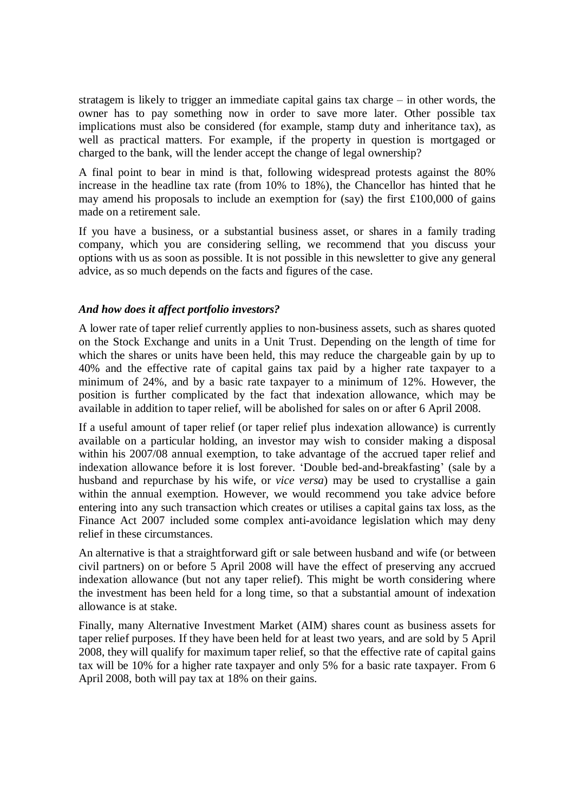stratagem is likely to trigger an immediate capital gains tax charge – in other words, the owner has to pay something now in order to save more later. Other possible tax implications must also be considered (for example, stamp duty and inheritance tax), as well as practical matters. For example, if the property in question is mortgaged or charged to the bank, will the lender accept the change of legal ownership?

A final point to bear in mind is that, following widespread protests against the 80% increase in the headline tax rate (from 10% to 18%), the Chancellor has hinted that he may amend his proposals to include an exemption for (say) the first £100,000 of gains made on a retirement sale.

If you have a business, or a substantial business asset, or shares in a family trading company, which you are considering selling, we recommend that you discuss your options with us as soon as possible. It is not possible in this newsletter to give any general advice, as so much depends on the facts and figures of the case.

## *And how does it affect portfolio investors?*

A lower rate of taper relief currently applies to non-business assets, such as shares quoted on the Stock Exchange and units in a Unit Trust. Depending on the length of time for which the shares or units have been held, this may reduce the chargeable gain by up to 40% and the effective rate of capital gains tax paid by a higher rate taxpayer to a minimum of 24%, and by a basic rate taxpayer to a minimum of 12%. However, the position is further complicated by the fact that indexation allowance, which may be available in addition to taper relief, will be abolished for sales on or after 6 April 2008.

If a useful amount of taper relief (or taper relief plus indexation allowance) is currently available on a particular holding, an investor may wish to consider making a disposal within his 2007/08 annual exemption, to take advantage of the accrued taper relief and indexation allowance before it is lost forever. 'Double bed-and-breakfasting' (sale by a husband and repurchase by his wife, or *vice versa*) may be used to crystallise a gain within the annual exemption. However, we would recommend you take advice before entering into any such transaction which creates or utilises a capital gains tax loss, as the Finance Act 2007 included some complex anti-avoidance legislation which may deny relief in these circumstances.

An alternative is that a straightforward gift or sale between husband and wife (or between civil partners) on or before 5 April 2008 will have the effect of preserving any accrued indexation allowance (but not any taper relief). This might be worth considering where the investment has been held for a long time, so that a substantial amount of indexation allowance is at stake.

Finally, many Alternative Investment Market (AIM) shares count as business assets for taper relief purposes. If they have been held for at least two years, and are sold by 5 April 2008, they will qualify for maximum taper relief, so that the effective rate of capital gains tax will be 10% for a higher rate taxpayer and only 5% for a basic rate taxpayer. From 6 April 2008, both will pay tax at 18% on their gains.